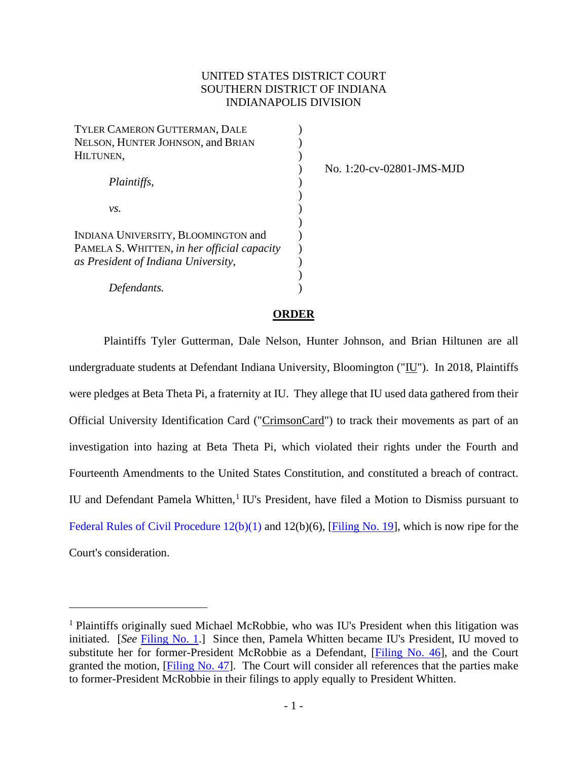# UNITED STATES DISTRICT COURT SOUTHERN DISTRICT OF INDIANA INDIANAPOLIS DIVISION

| TYLER CAMERON GUTTERMAN, DALE               |  |
|---------------------------------------------|--|
| NELSON, HUNTER JOHNSON, and BRIAN           |  |
| HILTUNEN,                                   |  |
|                                             |  |
| Plaintiffs,                                 |  |
|                                             |  |
| vs.                                         |  |
|                                             |  |
| INDIANA UNIVERSITY, BLOOMINGTON and         |  |
| PAMELA S. WHITTEN, in her official capacity |  |
| as President of Indiana University,         |  |
|                                             |  |
| Defendants.                                 |  |

No. 1:20-cv-02801-JMS-MJD

#### **ORDER**

Plaintiffs Tyler Gutterman, Dale Nelson, Hunter Johnson, and Brian Hiltunen are all undergraduate students at Defendant Indiana University, Bloomington ("IU"). In 2018, Plaintiffs were pledges at Beta Theta Pi, a fraternity at IU. They allege that IU used data gathered from their Official University Identification Card ("CrimsonCard") to track their movements as part of an investigation into hazing at Beta Theta Pi, which violated their rights under the Fourth and Fourteenth Amendments to the United States Constitution, and constituted a breach of contract. IU and Defendant Pamela Whitten, [1](#page-0-0) IU's President, have filed a Motion to Dismiss pursuant to [Federal Rules of Civil Procedure 12\(b\)\(1\)](https://www.westlaw.com/Document/N96C8CD1043A111DC8D9EC9ECEEDEF2EE/View/FullText.html?transitionType=Default&contextData=(sc.Default)&VR=3.0&RS=da3.0) and 12(b)(6), [\[Filing No. 19\]](https://ecf.insd.uscourts.gov/doc1/07318468841), which is now ripe for the Court's consideration.

<span id="page-0-0"></span><sup>&</sup>lt;sup>1</sup> Plaintiffs originally sued Michael McRobbie, who was IU's President when this litigation was initiated. [*See* [Filing No. 1.](https://ecf.insd.uscourts.gov/doc1/07318261820)] Since then, Pamela Whitten became IU's President, IU moved to substitute her for former-President McRobbie as a Defendant, [\[Filing No. 46\]](https://ecf.insd.uscourts.gov/doc1/07318786498), and the Court granted the motion, [\[Filing No. 47\]](https://ecf.insd.uscourts.gov/doc1/07318790042). The Court will consider all references that the parties make to former-President McRobbie in their filings to apply equally to President Whitten.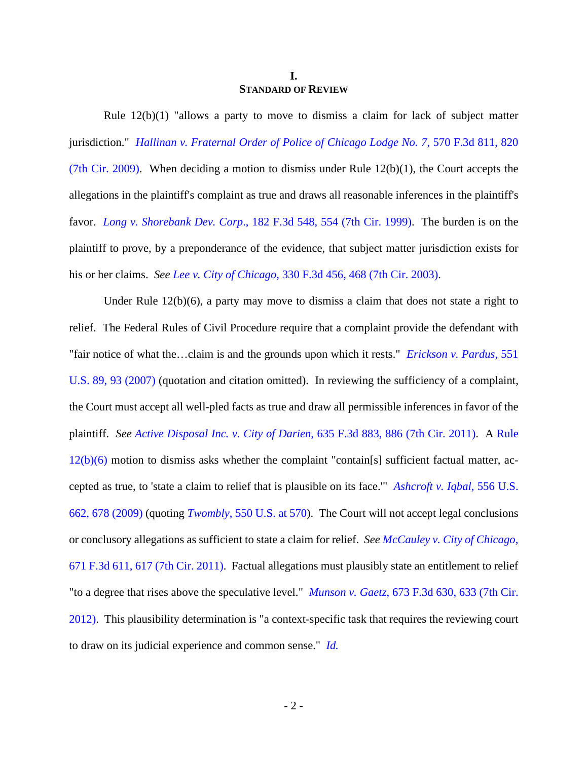#### **I. STANDARD OF REVIEW**

Rule  $12(b)(1)$  "allows a party to move to dismiss a claim for lack of subject matter jurisdiction." *[Hallinan v. Fraternal Order of Police of Chicago Lodge No. 7](https://www.westlaw.com/Document/Idc7a47ba617611de9988d233d23fe599/View/FullText.html?transitionType=Default&contextData=(sc.Default)&VR=3.0&RS=da3.0&fragmentIdentifier=co_pp_sp_506_820)*, 570 F.3d 811, 820 [\(7th Cir. 2009\).](https://www.westlaw.com/Document/Idc7a47ba617611de9988d233d23fe599/View/FullText.html?transitionType=Default&contextData=(sc.Default)&VR=3.0&RS=da3.0&fragmentIdentifier=co_pp_sp_506_820) When deciding a motion to dismiss under Rule  $12(b)(1)$ , the Court accepts the allegations in the plaintiff's complaint as true and draws all reasonable inferences in the plaintiff's favor. *Long v. Shorebank Dev. Corp*[., 182 F.3d 548, 554 \(7th Cir. 1999\).](https://www.westlaw.com/Document/I14e76dd594ab11d9a707f4371c9c34f0/View/FullText.html?transitionType=Default&contextData=(sc.Default)&VR=3.0&RS=da3.0&fragmentIdentifier=co_pp_sp_506_554) The burden is on the plaintiff to prove, by a preponderance of the evidence, that subject matter jurisdiction exists for his or her claims. *See Lee v. City of Chicago*[, 330 F.3d 456, 468 \(7th Cir. 2003\).](https://www.westlaw.com/Document/I15f37ef989dc11d9b6ea9f5a173c4523/View/FullText.html?transitionType=Default&contextData=(sc.Default)&VR=3.0&RS=da3.0&fragmentIdentifier=co_pp_sp_506_468)

Under Rule 12(b)(6), a party may move to dismiss a claim that does not state a right to relief. The Federal Rules of Civil Procedure require that a complaint provide the defendant with "fair notice of what the…claim is and the grounds upon which it rests." *[Erickson v. Pardus](https://www.westlaw.com/Document/I71a59acb125911dc962ef0ed15906072/View/FullText.html?transitionType=Default&contextData=(sc.Default)&VR=3.0&RS=da3.0&fragmentIdentifier=co_pp_sp_780_93)*, 551 [U.S. 89, 93](https://www.westlaw.com/Document/I71a59acb125911dc962ef0ed15906072/View/FullText.html?transitionType=Default&contextData=(sc.Default)&VR=3.0&RS=da3.0&fragmentIdentifier=co_pp_sp_780_93) (2007) (quotation and citation omitted). In reviewing the sufficiency of a complaint, the Court must accept all well-pled facts as true and draw all permissible inferences in favor of the plaintiff. *See [Active Disposal Inc. v. City of Darien](https://www.westlaw.com/Document/Ic45182d94e3e11e0a982f2e73586a872/View/FullText.html?transitionType=Default&contextData=(sc.Default)&VR=3.0&RS=da3.0&fragmentIdentifier=co_pp_sp_506_886)*, 635 F.3d 883, 886 (7th Cir. 2011). A [Rule](https://www.westlaw.com/Document/N96C8CD1043A111DC8D9EC9ECEEDEF2EE/View/FullText.html?transitionType=Default&contextData=(sc.Default)&VR=3.0&RS=da3.0)  [12\(b\)\(6\)](https://www.westlaw.com/Document/N96C8CD1043A111DC8D9EC9ECEEDEF2EE/View/FullText.html?transitionType=Default&contextData=(sc.Default)&VR=3.0&RS=da3.0) motion to dismiss asks whether the complaint "contain[s] sufficient factual matter, accepted as true, to 'state a claim to relief that is plausible on its face.'" *[Ashcroft v. Iqbal](https://www.westlaw.com/Document/I90623386439011de8bf6cd8525c41437/View/FullText.html?transitionType=Default&contextData=(sc.Default)&VR=3.0&RS=da3.0&fragmentIdentifier=co_pp_sp_780_678)*, 556 U.S. [662, 678 \(2009\)](https://www.westlaw.com/Document/I90623386439011de8bf6cd8525c41437/View/FullText.html?transitionType=Default&contextData=(sc.Default)&VR=3.0&RS=da3.0&fragmentIdentifier=co_pp_sp_780_678) (quoting *Twombly*[, 550 U.S. at 570\)](https://www.westlaw.com/Document/Ib53eb62e07a011dcb035bac3a32ef289/View/FullText.html?transitionType=Default&contextData=(sc.Default)&VR=3.0&RS=da3.0&fragmentIdentifier=co_pp_sp_780_570). The Court will not accept legal conclusions or conclusory allegations as sufficient to state a claim for relief. *Se[e McCauley v. City of Chicago](https://www.westlaw.com/Document/Ie43c9a6ffb2a11e0bc27967e57e99458/View/FullText.html?transitionType=Default&contextData=(sc.Default)&VR=3.0&RS=da3.0&fragmentIdentifier=co_pp_sp_506_617)*, [671 F.3d 611, 617 \(7th Cir. 2011\).](https://www.westlaw.com/Document/Ie43c9a6ffb2a11e0bc27967e57e99458/View/FullText.html?transitionType=Default&contextData=(sc.Default)&VR=3.0&RS=da3.0&fragmentIdentifier=co_pp_sp_506_617) Factual allegations must plausibly state an entitlement to relief "to a degree that rises above the speculative level." *Munson v. Gaetz*, 673 F.3d [630, 633 \(7th Cir.](https://www.westlaw.com/Document/I84dde09969eb11e1be29b2facdefeebe/View/FullText.html?transitionType=Default&contextData=(sc.Default)&VR=3.0&RS=da3.0&fragmentIdentifier=co_pp_sp_506_633)  [2012\).](https://www.westlaw.com/Document/I84dde09969eb11e1be29b2facdefeebe/View/FullText.html?transitionType=Default&contextData=(sc.Default)&VR=3.0&RS=da3.0&fragmentIdentifier=co_pp_sp_506_633) This plausibility determination is "a context-specific task that requires the reviewing court to draw on its judicial experience and common sense." *[Id.](https://www.westlaw.com/Document/I84dde09969eb11e1be29b2facdefeebe/View/FullText.html?transitionType=Default&contextData=(sc.Default)&VR=3.0&RS=da3.0)*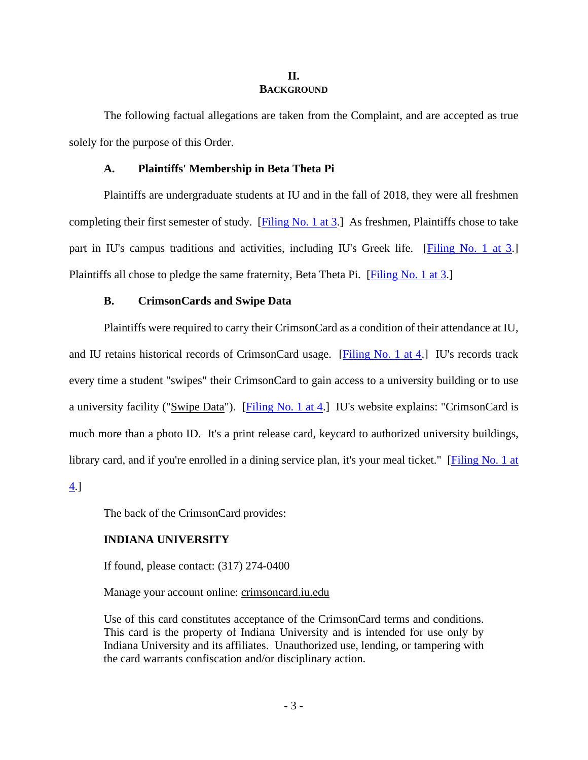#### **II. BACKGROUND**

The following factual allegations are taken from the Complaint, and are accepted as true solely for the purpose of this Order.

# **A. Plaintiffs' Membership in Beta Theta Pi**

Plaintiffs are undergraduate students at IU and in the fall of 2018, they were all freshmen completing their first semester of study. [\[Filing No. 1 at 3.](https://ecf.insd.uscourts.gov/doc1/07318261820?page=3)] As freshmen, Plaintiffs chose to take part in IU's campus traditions and activities, including IU's Greek life. [\[Filing No. 1 at 3.](https://ecf.insd.uscourts.gov/doc1/07318261820?page=3)] Plaintiffs all chose to pledge the same fraternity, Beta Theta Pi. [\[Filing No.](https://ecf.insd.uscourts.gov/doc1/07318261820?page=3) 1 at 3.]

#### **B. CrimsonCards and Swipe Data**

Plaintiffs were required to carry their CrimsonCard as a condition of their attendance at IU, and IU retains historical records of CrimsonCard usage. [\[Filing No. 1 at 4.](https://ecf.insd.uscourts.gov/doc1/07318261820?page=4)] IU's records track every time a student "swipes" their CrimsonCard to gain access to a university building or to use a university facility ("Swipe Data"). [\[Filing No. 1 at 4.](https://ecf.insd.uscourts.gov/doc1/07318261820?page=4)] IU's website explains: "CrimsonCard is much more than a photo ID. It's a print release card, keycard to authorized university buildings, library card, and if you're enrolled in a dining service plan, it's your meal ticket." [Filing No. 1 at

[4.](https://ecf.insd.uscourts.gov/doc1/07318261820?page=4)]

The back of the CrimsonCard provides:

# **INDIANA UNIVERSITY**

If found, please contact: (317) 274-0400

Manage your account online: crimsoncard.iu.edu

Use of this card constitutes acceptance of the CrimsonCard terms and conditions. This card is the property of Indiana University and is intended for use only by Indiana University and its affiliates. Unauthorized use, lending, or tampering with the card warrants confiscation and/or disciplinary action.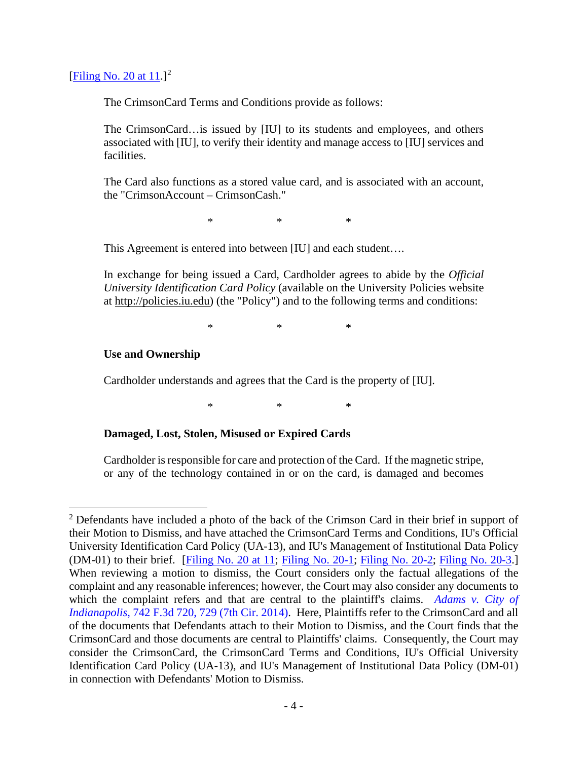# [Filing No. [2](#page-3-0)0 at  $11$ .]<sup>2</sup>

The CrimsonCard Terms and Conditions provide as follows:

The CrimsonCard…is issued by [IU] to its students and employees, and others associated with [IU], to verify their identity and manage access to [IU] services and facilities.

The Card also functions as a stored value card, and is associated with an account, the "CrimsonAccount – CrimsonCash."

\* \* \*

This Agreement is entered into between [IU] and each student….

In exchange for being issued a Card, Cardholder agrees to abide by the *Official University Identification Card Policy* (available on the University Policies website at http://policies.iu.edu) (the "Policy") and to the following terms and conditions:

\* \* \*

## **Use and Ownership**

Cardholder understands and agrees that the Card is the property of [IU].

\* \* \*

### **Damaged, Lost, Stolen, Misused or Expired Cards**

Cardholder is responsible for care and protection of the Card. If the magnetic stripe, or any of the technology contained in or on the card, is damaged and becomes

<span id="page-3-0"></span> $2$  Defendants have included a photo of the back of the Crimson Card in their brief in support of their Motion to Dismiss, and have attached the CrimsonCard Terms and Conditions, IU's Official University Identification Card Policy (UA-13), and IU's Management of Institutional Data Policy (DM-01) to their brief. [\[Filing No. 20 at 11;](https://ecf.insd.uscourts.gov/doc1/07318468858?page=11) [Filing No. 20-1;](https://ecf.insd.uscourts.gov/doc1/07318468859) [Filing No. 20-2;](https://ecf.insd.uscourts.gov/doc1/07318468860) [Filing No. 20-3.](https://ecf.insd.uscourts.gov/doc1/07318468861)] When reviewing a motion to dismiss, the Court considers only the factual allegations of the complaint and any reasonable inferences; however, the Court may also consider any documents to which the complaint refers and that are central to the plaintiff's claims. *Adams v. City of Indianapolis*[, 742 F.3d 720, 729 \(7th Cir. 2014\).](https://www.westlaw.com/Document/I94ebb8a38db511e3a659df62eba144e8/View/FullText.html?transitionType=Default&contextData=(sc.Default)&VR=3.0&RS=da3.0&fragmentIdentifier=co_pp_sp_506_729) Here, Plaintiffs refer to the CrimsonCard and all of the documents that Defendants attach to their Motion to Dismiss, and the Court finds that the CrimsonCard and those documents are central to Plaintiffs' claims. Consequently, the Court may consider the CrimsonCard, the CrimsonCard Terms and Conditions, IU's Official University Identification Card Policy (UA-13), and IU's Management of Institutional Data Policy (DM-01) in connection with Defendants' Motion to Dismiss.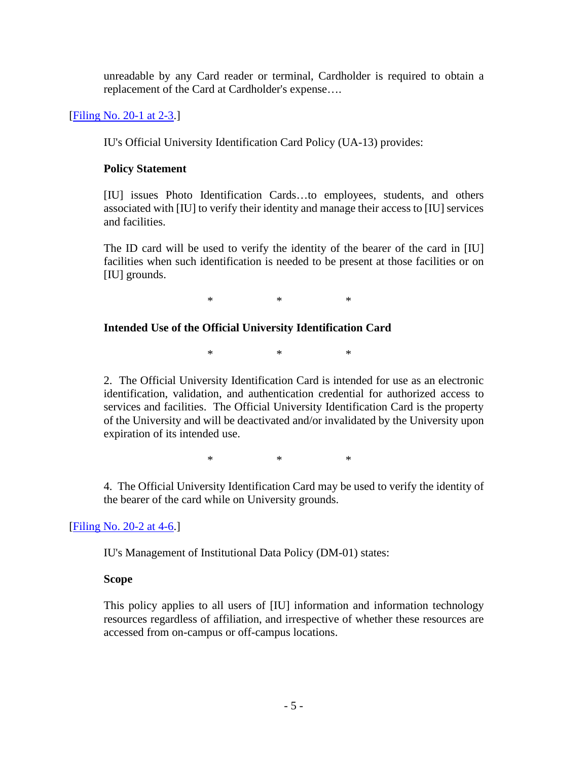unreadable by any Card reader or terminal, Cardholder is required to obtain a replacement of the Card at Cardholder's expense….

[\[Filing No. 20-1 at 2-3.](https://ecf.insd.uscourts.gov/doc1/07318468859?page=2)]

IU's Official University Identification Card Policy (UA-13) provides:

# **Policy Statement**

[IU] issues Photo Identification Cards…to employees, students, and others associated with [IU] to verify their identity and manage their access to [IU] services and facilities.

The ID card will be used to verify the identity of the bearer of the card in [IU] facilities when such identification is needed to be present at those facilities or on [IU] grounds.

\* \* \*

# **Intended Use of the Official University Identification Card**

\* \* \*

2. The Official University Identification Card is intended for use as an electronic identification, validation, and authentication credential for authorized access to services and facilities. The Official University Identification Card is the property of the University and will be deactivated and/or invalidated by the University upon expiration of its intended use.

\* \* \*

4. The Official University Identification Card may be used to verify the identity of the bearer of the card while on University grounds.

[\[Filing No. 20-2 at 4-6.](https://ecf.insd.uscourts.gov/doc1/07318468860?page=4)]

IU's Management of Institutional Data Policy (DM-01) states:

# **Scope**

This policy applies to all users of [IU] information and information technology resources regardless of affiliation, and irrespective of whether these resources are accessed from on-campus or off-campus locations.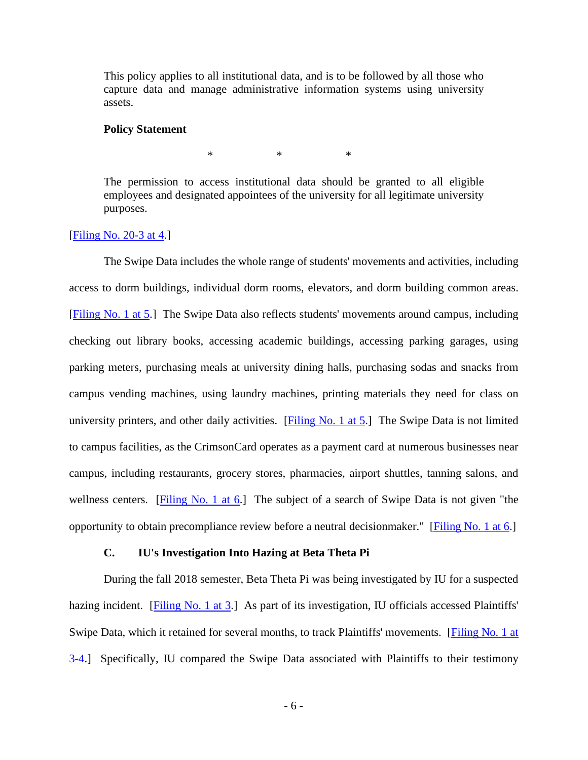This policy applies to all institutional data, and is to be followed by all those who capture data and manage administrative information systems using university assets.

#### **Policy Statement**

\* \* \*

The permission to access institutional data should be granted to all eligible employees and designated appointees of the university for all legitimate university purposes.

#### [\[Filing No. 20-3 at 4.](https://ecf.insd.uscourts.gov/doc1/07318468861?page=4)]

The Swipe Data includes the whole range of students' movements and activities, including access to dorm buildings, individual dorm rooms, elevators, and dorm building common areas. [\[Filing No. 1 at 5.](https://ecf.insd.uscourts.gov/doc1/07318261820?page=5)] The Swipe Data also reflects students' movements around campus, including checking out library books, accessing academic buildings, accessing parking garages, using parking meters, purchasing meals at university dining halls, purchasing sodas and snacks from campus vending machines, using laundry machines, printing materials they need for class on university printers, and other daily activities. [\[Filing No. 1 at 5.](https://ecf.insd.uscourts.gov/doc1/07318261820?page=5)] The Swipe Data is not limited to campus facilities, as the CrimsonCard operates as a payment card at numerous businesses near campus, including restaurants, grocery stores, pharmacies, airport shuttles, tanning salons, and wellness centers. [\[Filing No. 1 at 6.](https://ecf.insd.uscourts.gov/doc1/07318261820?page=6)] The subject of a search of Swipe Data is not given "the opportunity to obtain precompliance review before a neutral decisionmaker." [\[Filing No. 1 at 6.](https://ecf.insd.uscourts.gov/doc1/07318261820?page=6)]

## **C. IU's Investigation Into Hazing at Beta Theta Pi**

During the fall 2018 semester, Beta Theta Pi was being investigated by IU for a suspected hazing incident. [\[Filing No. 1 at 3.](https://ecf.insd.uscourts.gov/doc1/07318261820?page=3)] As part of its investigation, IU officials accessed Plaintiffs' Swipe Data, which it retained for several months, to track Plaintiffs' movements. [Filing No. 1 at [3-4.](https://ecf.insd.uscourts.gov/doc1/07318261820?page=3)] Specifically, IU compared the Swipe Data associated with Plaintiffs to their testimony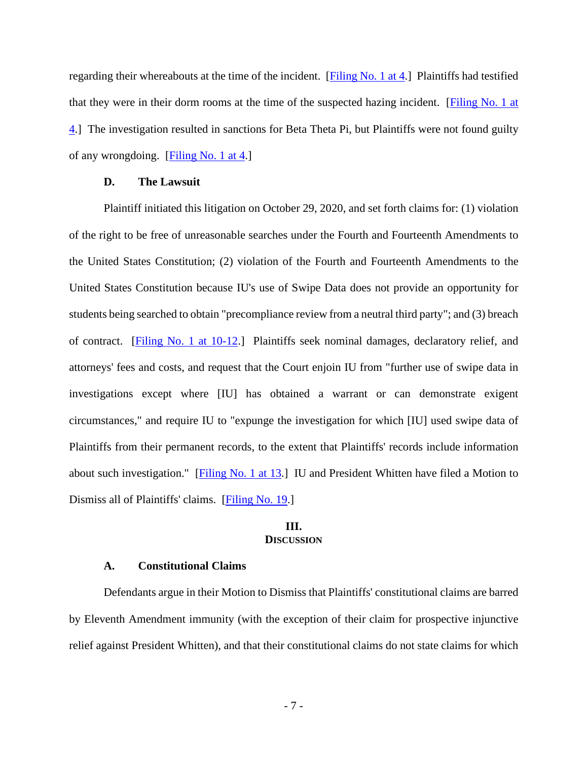regarding their whereabouts at the time of the incident.  $[Filing No. 1 at 4.]$  Plaintiffs had testified that they were in their dorm rooms at the time of the suspected hazing incident. [\[Filing No. 1 at](https://ecf.insd.uscourts.gov/doc1/07318261820?page=4)  [4.](https://ecf.insd.uscourts.gov/doc1/07318261820?page=4)] The investigation resulted in sanctions for Beta Theta Pi, but Plaintiffs were not found guilty of any wrongdoing. [\[Filing No. 1 at 4.](https://ecf.insd.uscourts.gov/doc1/07318261820?page=4)]

#### **D. The Lawsuit**

Plaintiff initiated this litigation on October 29, 2020, and set forth claims for: (1) violation of the right to be free of unreasonable searches under the Fourth and Fourteenth Amendments to the United States Constitution; (2) violation of the Fourth and Fourteenth Amendments to the United States Constitution because IU's use of Swipe Data does not provide an opportunity for students being searched to obtain "precompliance review from a neutral third party"; and (3) breach of contract. [\[Filing No. 1 at 10-12.](https://ecf.insd.uscourts.gov/doc1/07318261820?page=10)] Plaintiffs seek nominal damages, declaratory relief, and attorneys' fees and costs, and request that the Court enjoin IU from "further use of swipe data in investigations except where [IU] has obtained a warrant or can demonstrate exigent circumstances," and require IU to "expunge the investigation for which [IU] used swipe data of Plaintiffs from their permanent records, to the extent that Plaintiffs' records include information about such investigation." [\[Filing No. 1 at 13.](https://ecf.insd.uscourts.gov/doc1/07318261820?page=13)] IU and President Whitten have filed a Motion to Dismiss all of Plaintiffs' claims. [\[Filing No. 19.](https://ecf.insd.uscourts.gov/doc1/07318468841)]

#### **III. DISCUSSION**

### **A. Constitutional Claims**

Defendants argue in their Motion to Dismiss that Plaintiffs' constitutional claims are barred by Eleventh Amendment immunity (with the exception of their claim for prospective injunctive relief against President Whitten), and that their constitutional claims do not state claims for which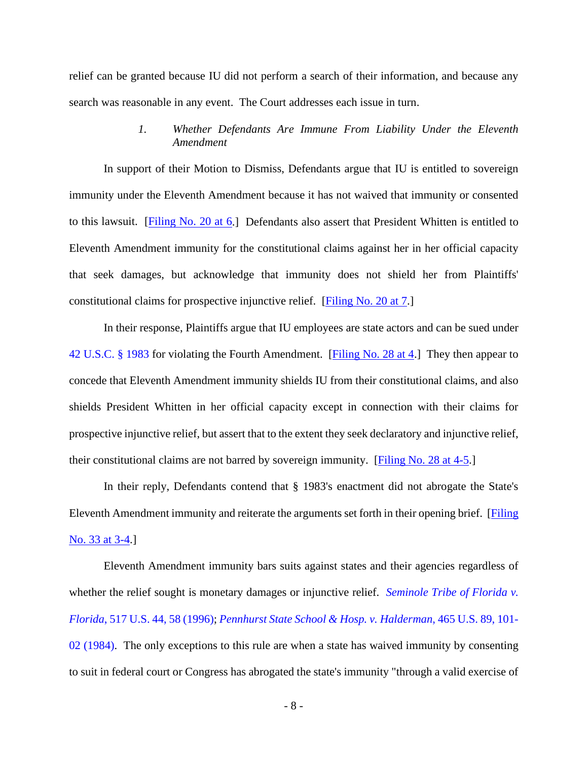relief can be granted because IU did not perform a search of their information, and because any search was reasonable in any event. The Court addresses each issue in turn.

# *1. Whether Defendants Are Immune From Liability Under the Eleventh Amendment*

In support of their Motion to Dismiss, Defendants argue that IU is entitled to sovereign immunity under the Eleventh Amendment because it has not waived that immunity or consented to this lawsuit. [\[Filing No. 20 at 6.](https://ecf.insd.uscourts.gov/doc1/07318468858?page=6)] Defendants also assert that President Whitten is entitled to Eleventh Amendment immunity for the constitutional claims against her in her official capacity that seek damages, but acknowledge that immunity does not shield her from Plaintiffs' constitutional claims for prospective injunctive relief. [\[Filing No. 20 at 7.](https://ecf.insd.uscourts.gov/doc1/07318468858?page=7)]

In their response, Plaintiffs argue that IU employees are state actors and can be sued under [42 U.S.C. §](https://www.westlaw.com/Document/NDFE80F60AFF711D8803AE0632FEDDFBF/View/FullText.html?transitionType=Default&contextData=(sc.Default)&VR=3.0&RS=da3.0) 1983 for violating the Fourth Amendment. [\[Filing No. 28 at 4.](https://ecf.insd.uscourts.gov/doc1/07318510715?page=4)] They then appear to concede that Eleventh Amendment immunity shields IU from their constitutional claims, and also shields President Whitten in her official capacity except in connection with their claims for prospective injunctive relief, but assert that to the extent they seek declaratory and injunctive relief, their constitutional claims are not barred by sovereign immunity. [\[Filing No. 28 at 4-5.](https://ecf.insd.uscourts.gov/doc1/07318510715?page=4)]

In their reply, Defendants contend that § 1983's enactment did not abrogate the State's Eleventh Amendment immunity and reiterate the arguments set forth in their opening brief. [\[Filing](https://ecf.insd.uscourts.gov/doc1/07318537498?page=3)  [No. 33 at 3-4.](https://ecf.insd.uscourts.gov/doc1/07318537498?page=3)]

Eleventh Amendment immunity bars suits against states and their agencies regardless of whether the relief sought is monetary damages or injunctive relief. *Seminole Tribe of Florida v*. *Florida*[, 517 U.S. 44, 58 \(1996\);](https://www.westlaw.com/Document/I96db6f309c4511d9bdd1cfdd544ca3a4/View/FullText.html?transitionType=Default&contextData=(sc.Default)&VR=3.0&RS=da3.0&fragmentIdentifier=co_pp_sp_780_58) *[Pennhurst State School &](https://www.westlaw.com/Document/Id4c623d19c1d11d991d0cc6b54f12d4d/View/FullText.html?transitionType=Default&contextData=(sc.Default)&VR=3.0&RS=da3.0&fragmentIdentifier=co_pp_sp_780_101) Hosp. v. Halderman*, 465 U.S. 89, 101- [02 \(1984\).](https://www.westlaw.com/Document/Id4c623d19c1d11d991d0cc6b54f12d4d/View/FullText.html?transitionType=Default&contextData=(sc.Default)&VR=3.0&RS=da3.0&fragmentIdentifier=co_pp_sp_780_101) The only exceptions to this rule are when a state has waived immunity by consenting to suit in federal court or Congress has abrogated the state's immunity "through a valid exercise of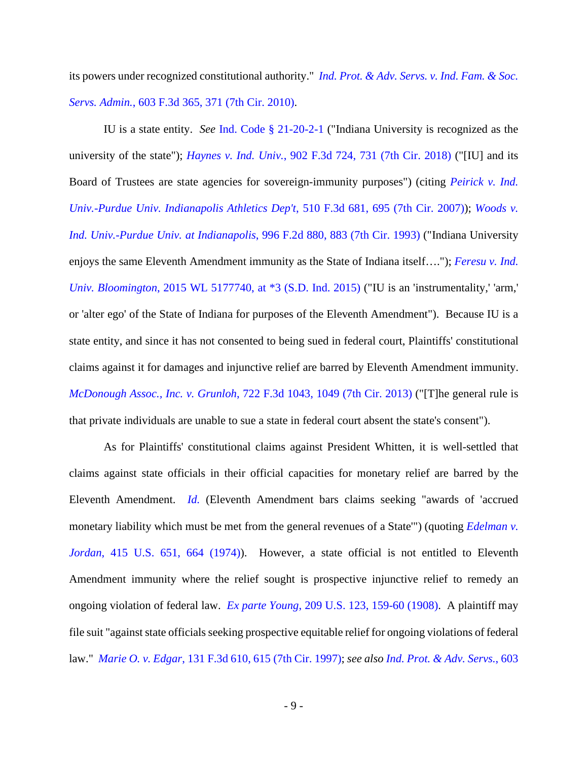its powers under recognized constitutional authority." *Ind. Prot. & Adv. [Servs. v. Ind. Fam.](https://www.westlaw.com/Document/I127b952d4e0b11dfa7ada84b8dc24cbf/View/FullText.html?transitionType=Default&contextData=(sc.Default)&VR=3.0&RS=da3.0&fragmentIdentifier=co_pp_sp_506_371) & Soc. Servs. Admin.*[, 603 F.3d 365, 371 \(7th Cir. 2010\).](https://www.westlaw.com/Document/I127b952d4e0b11dfa7ada84b8dc24cbf/View/FullText.html?transitionType=Default&contextData=(sc.Default)&VR=3.0&RS=da3.0&fragmentIdentifier=co_pp_sp_506_371)

IU is a state entity. *See* [Ind. Code §](https://www.westlaw.com/Document/N0455A970098711DCB1E0BB0459266805/View/FullText.html?transitionType=Default&contextData=(sc.Default)&VR=3.0&RS=da3.0) 21-20-2-1 ("Indiana University is recognized as the university of the state"); *Haynes v. Ind. Univ.*[, 902 F.3d 724, 731 \(7th Cir. 2018\)](https://www.westlaw.com/Document/I94fe4080b06b11e8a5d58a2c8dcb28b5/View/FullText.html?transitionType=Default&contextData=(sc.Default)&VR=3.0&RS=da3.0&fragmentIdentifier=co_pp_sp_506_731) ("[IU] and its Board of Trustees are state agencies for sovereign-immunity purposes") (citing *[Peirick v. Ind.](https://www.westlaw.com/Document/I72b96876aa6311dcb6a3a099756c05b7/View/FullText.html?transitionType=Default&contextData=(sc.Default)&VR=3.0&RS=da3.0&fragmentIdentifier=co_pp_sp_506_695)  [Univ.-Purdue Univ. Indianapolis Athletics Dep't](https://www.westlaw.com/Document/I72b96876aa6311dcb6a3a099756c05b7/View/FullText.html?transitionType=Default&contextData=(sc.Default)&VR=3.0&RS=da3.0&fragmentIdentifier=co_pp_sp_506_695)*, 510 F.3d 681, 695 (7th Cir. 2007)); *[Woods v.](https://www.westlaw.com/Document/I1ff9430b96fa11d9bdd1cfdd544ca3a4/View/FullText.html?transitionType=Default&contextData=(sc.Default)&VR=3.0&RS=da3.0&fragmentIdentifier=co_pp_sp_350_883)  [Ind. Univ.-Purdue Univ. at Indianapolis](https://www.westlaw.com/Document/I1ff9430b96fa11d9bdd1cfdd544ca3a4/View/FullText.html?transitionType=Default&contextData=(sc.Default)&VR=3.0&RS=da3.0&fragmentIdentifier=co_pp_sp_350_883)*, 996 F.2d 880, 883 (7th Cir. 1993) ("Indiana University enjoys the same Eleventh Amendment immunity as the State of Indiana itself…."); *[Feresu v. Ind.](https://www.westlaw.com/Document/I061a0032553611e5a807ad48145ed9f1/View/FullText.html?transitionType=Default&contextData=(sc.Default)&VR=3.0&RS=da3.0&fragmentIdentifier=co_pp_sp_999_3)  Univ. Bloomington*[, 2015 WL 5177740, at \\*3 \(S.D. Ind. 2015\)](https://www.westlaw.com/Document/I061a0032553611e5a807ad48145ed9f1/View/FullText.html?transitionType=Default&contextData=(sc.Default)&VR=3.0&RS=da3.0&fragmentIdentifier=co_pp_sp_999_3) ("IU is an 'instrumentality,' 'arm,' or 'alter ego' of the State of Indiana for purposes of the Eleventh Amendment"). Because IU is a state entity, and since it has not consented to being sued in federal court, Plaintiffs' constitutional claims against it for damages and injunctive relief are barred by Eleventh Amendment immunity. *McDonough Assoc., Inc. v. Grunloh*[, 722 F.3d 1043, 1049 \(7th Cir. 2013\)](https://www.westlaw.com/Document/Iae61fff3ee3d11e2981fa20c4f198a69/View/FullText.html?transitionType=Default&contextData=(sc.Default)&VR=3.0&RS=da3.0&fragmentIdentifier=co_pp_sp_506_1049) ("[T]he general rule is that private individuals are unable to sue a state in federal court absent the state's consent").

As for Plaintiffs' constitutional claims against President Whitten, it is well-settled that claims against state officials in their official capacities for monetary relief are barred by the Eleventh Amendment. *[Id.](https://www.westlaw.com/Document/Iae61fff3ee3d11e2981fa20c4f198a69/View/FullText.html?transitionType=Default&contextData=(sc.Default)&VR=3.0&RS=da3.0)* (Eleventh Amendment bars claims seeking "awards of 'accrued monetary liability which must be met from the general revenues of a State'") (quoting *[Edelman v.](https://www.westlaw.com/Document/I220d3ed79bf011d993e6d35cc61aab4a/View/FullText.html?transitionType=Default&contextData=(sc.Default)&VR=3.0&RS=da3.0&fragmentIdentifier=co_pp_sp_780_664)  Jordan*[, 415 U.S. 651, 664 \(1974\)\)](https://www.westlaw.com/Document/I220d3ed79bf011d993e6d35cc61aab4a/View/FullText.html?transitionType=Default&contextData=(sc.Default)&VR=3.0&RS=da3.0&fragmentIdentifier=co_pp_sp_780_664). However, a state official is not entitled to Eleventh Amendment immunity where the relief sought is prospective injunctive relief to remedy an ongoing violation of federal law. *Ex parte Young*[, 209 U.S. 123, 159-60](https://www.westlaw.com/Document/Icdfe8be09cc211d993e6d35cc61aab4a/View/FullText.html?transitionType=Default&contextData=(sc.Default)&VR=3.0&RS=da3.0&fragmentIdentifier=co_pp_sp_780_159) (1908). A plaintiff may file suit "against state officials seeking prospective equitable relief for ongoing violations of federal law." *Marie O. v. Edgar*[, 131 F.3d 610, 615 \(7th Cir. 1997\);](https://www.westlaw.com/Document/I44fb8ec7943311d9bc61beebb95be672/View/FullText.html?transitionType=Default&contextData=(sc.Default)&VR=3.0&RS=da3.0&fragmentIdentifier=co_pp_sp_506_615) *see also [Ind. Prot. & Adv. Servs.](https://www.westlaw.com/Document/I127b952d4e0b11dfa7ada84b8dc24cbf/View/FullText.html?transitionType=Default&contextData=(sc.Default)&VR=3.0&RS=da3.0&fragmentIdentifier=co_pp_sp_506_371)*, 603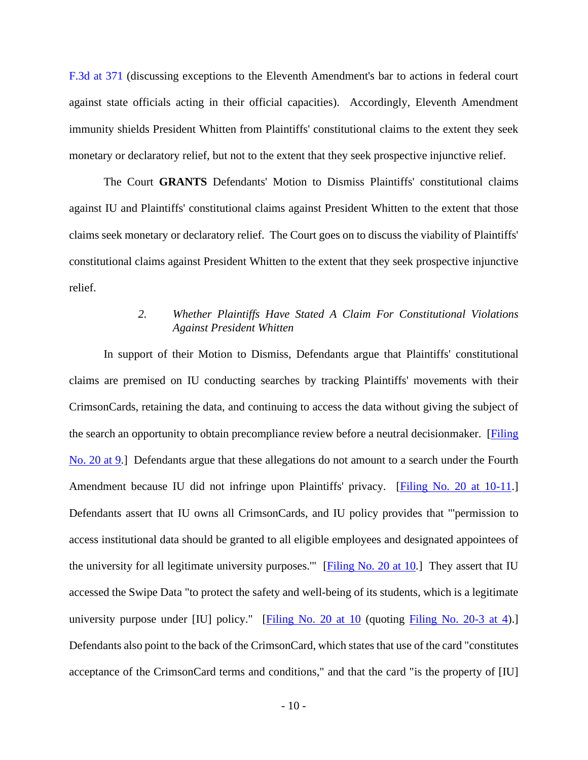[F.3d at 371](https://www.westlaw.com/Document/I127b952d4e0b11dfa7ada84b8dc24cbf/View/FullText.html?transitionType=Default&contextData=(sc.Default)&VR=3.0&RS=da3.0&fragmentIdentifier=co_pp_sp_506_371) (discussing exceptions to the Eleventh Amendment's bar to actions in federal court against state officials acting in their official capacities). Accordingly, Eleventh Amendment immunity shields President Whitten from Plaintiffs' constitutional claims to the extent they seek monetary or declaratory relief, but not to the extent that they seek prospective injunctive relief.

The Court **GRANTS** Defendants' Motion to Dismiss Plaintiffs' constitutional claims against IU and Plaintiffs' constitutional claims against President Whitten to the extent that those claims seek monetary or declaratory relief. The Court goes on to discuss the viability of Plaintiffs' constitutional claims against President Whitten to the extent that they seek prospective injunctive relief.

# *2. Whether Plaintiffs Have Stated A Claim For Constitutional Violations Against President Whitten*

In support of their Motion to Dismiss, Defendants argue that Plaintiffs' constitutional claims are premised on IU conducting searches by tracking Plaintiffs' movements with their CrimsonCards, retaining the data, and continuing to access the data without giving the subject of the search an opportunity to obtain precompliance review before a neutral decisionmaker. [\[Filing](https://ecf.insd.uscourts.gov/doc1/07318468858?page=9)  [No. 20 at 9.](https://ecf.insd.uscourts.gov/doc1/07318468858?page=9)] Defendants argue that these allegations do not amount to a search under the Fourth Amendment because IU did not infringe upon Plaintiffs' privacy. [\[Filing No. 20 at 10-11.](https://ecf.insd.uscourts.gov/doc1/07318468858?page=10)] Defendants assert that IU owns all CrimsonCards, and IU policy provides that "'permission to access institutional data should be granted to all eligible employees and designated appointees of the university for all legitimate university purposes.'" [\[Filing No. 20 at 10.](https://ecf.insd.uscourts.gov/doc1/07318468858?page=10)] They assert that IU accessed the Swipe Data "to protect the safety and well-being of its students, which is a legitimate university purpose under [IU] policy." [\[Filing No. 20 at 10](https://ecf.insd.uscourts.gov/doc1/07318468858?page=10) (quoting [Filing No. 20-3 at 4\)](https://ecf.insd.uscourts.gov/doc1/07318468861?page=4).] Defendants also point to the back of the CrimsonCard, which states that use of the card "constitutes acceptance of the CrimsonCard terms and conditions," and that the card "is the property of [IU]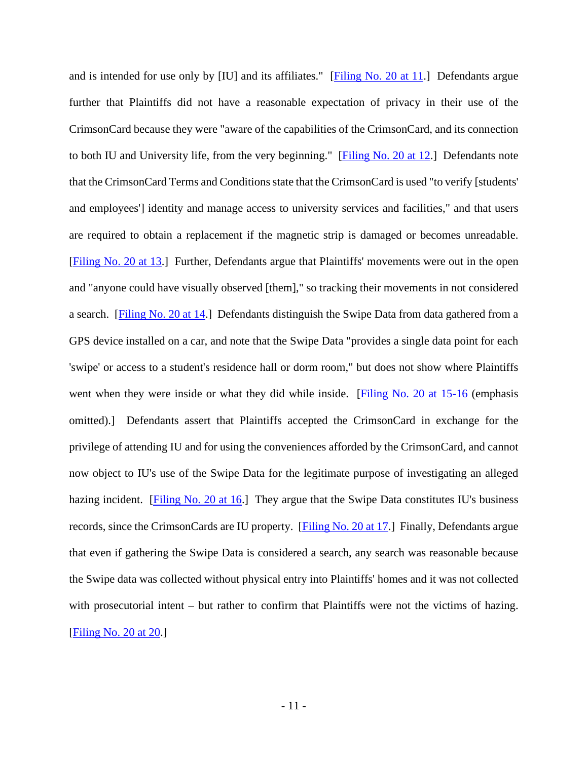and is intended for use only by [IU] and its affiliates." [\[Filing No. 20 at 11.](https://ecf.insd.uscourts.gov/doc1/07318468858?page=11)] Defendants argue further that Plaintiffs did not have a reasonable expectation of privacy in their use of the CrimsonCard because they were "aware of the capabilities of the CrimsonCard, and its connection to both IU and University life, from the very beginning." [\[Filing No. 20 at 12.](https://ecf.insd.uscourts.gov/doc1/07318468858?page=12)] Defendants note that the CrimsonCard Terms and Conditions state that the CrimsonCard is used "to verify [students' and employees'] identity and manage access to university services and facilities," and that users are required to obtain a replacement if the magnetic strip is damaged or becomes unreadable. [\[Filing No. 20 at 13.](https://ecf.insd.uscourts.gov/doc1/07318468858?page=13)] Further, Defendants argue that Plaintiffs' movements were out in the open and "anyone could have visually observed [them]," so tracking their movements in not considered a search. [\[Filing No. 20 at 14.](https://ecf.insd.uscourts.gov/doc1/07318468858?page=14)] Defendants distinguish the Swipe Data from data gathered from a GPS device installed on a car, and note that the Swipe Data "provides a single data point for each 'swipe' or access to a student's residence hall or dorm room," but does not show where Plaintiffs went when they were inside or what they did while inside. [\[Filing No. 20 at 15-16](https://ecf.insd.uscourts.gov/doc1/07318468858?page=15) (emphasis omitted).] Defendants assert that Plaintiffs accepted the CrimsonCard in exchange for the privilege of attending IU and for using the conveniences afforded by the CrimsonCard, and cannot now object to IU's use of the Swipe Data for the legitimate purpose of investigating an alleged hazing incident. [\[Filing No. 20 at 16.](https://ecf.insd.uscourts.gov/doc1/07318468858?page=16)] They argue that the Swipe Data constitutes IU's business records, since the CrimsonCards are IU property. [\[Filing No. 20 at 17.](https://ecf.insd.uscourts.gov/doc1/07318468858?page=17)] Finally, Defendants argue that even if gathering the Swipe Data is considered a search, any search was reasonable because the Swipe data was collected without physical entry into Plaintiffs' homes and it was not collected with prosecutorial intent – but rather to confirm that Plaintiffs were not the victims of hazing. [\[Filing No. 20 at 20.](https://ecf.insd.uscourts.gov/doc1/07318468858?page=20)]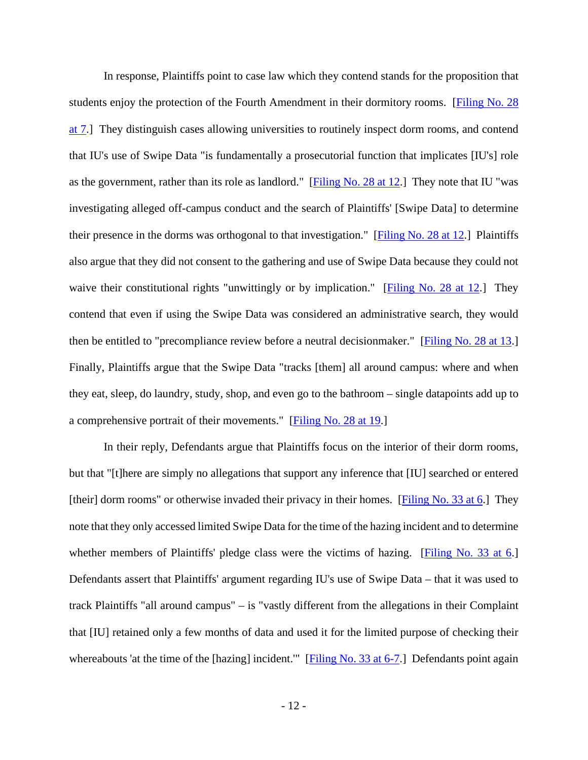In response, Plaintiffs point to case law which they contend stands for the proposition that students enjoy the protection of the Fourth Amendment in their dormitory rooms. [\[Filing No. 28](https://ecf.insd.uscourts.gov/doc1/07318510715?page=7)  [at 7.](https://ecf.insd.uscourts.gov/doc1/07318510715?page=7)] They distinguish cases allowing universities to routinely inspect dorm rooms, and contend that IU's use of Swipe Data "is fundamentally a prosecutorial function that implicates [IU's] role as the government, rather than its role as landlord." [\[Filing No. 28 at 12.](https://ecf.insd.uscourts.gov/doc1/07318510715?page=12)] They note that IU "was investigating alleged off-campus conduct and the search of Plaintiffs' [Swipe Data] to determine their presence in the dorms was orthogonal to that investigation." [\[Filing No. 28 at 12.](https://ecf.insd.uscourts.gov/doc1/07318510715?page=12)] Plaintiffs also argue that they did not consent to the gathering and use of Swipe Data because they could not waive their constitutional rights "unwittingly or by implication." [\[Filing No. 28 at 12.](https://ecf.insd.uscourts.gov/doc1/07318510715?page=12)] They contend that even if using the Swipe Data was considered an administrative search, they would then be entitled to "precompliance review before a neutral decisionmaker." [\[Filing No. 28 at 13.](https://ecf.insd.uscourts.gov/doc1/07318510715?page=13)] Finally, Plaintiffs argue that the Swipe Data "tracks [them] all around campus: where and when they eat, sleep, do laundry, study, shop, and even go to the bathroom – single datapoints add up to a comprehensive portrait of their movements." [\[Filing No. 28 at 19.](https://ecf.insd.uscourts.gov/doc1/07318510715?page=19)]

In their reply, Defendants argue that Plaintiffs focus on the interior of their dorm rooms, but that "[t]here are simply no allegations that support any inference that [IU] searched or entered [their] dorm rooms" or otherwise invaded their privacy in their homes. [\[Filing No. 33 at 6.](https://ecf.insd.uscourts.gov/doc1/07318537498?page=6)] They note that they only accessed limited Swipe Data for the time of the hazing incident and to determine whether members of Plaintiffs' pledge class were the victims of hazing. [\[Filing No. 33 at 6.](https://ecf.insd.uscourts.gov/doc1/07318537498?page=6)] Defendants assert that Plaintiffs' argument regarding IU's use of Swipe Data – that it was used to track Plaintiffs "all around campus" – is "vastly different from the allegations in their Complaint that [IU] retained only a few months of data and used it for the limited purpose of checking their whereabouts 'at the time of the [hazing] incident.'" [\[Filing No. 33 at 6-7.](https://ecf.insd.uscourts.gov/doc1/07318537498?page=6)] Defendants point again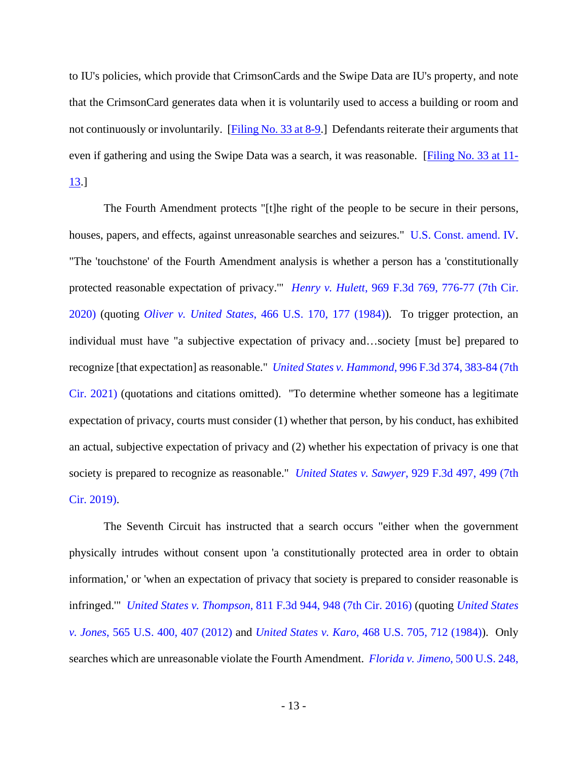to IU's policies, which provide that CrimsonCards and the Swipe Data are IU's property, and note that the CrimsonCard generates data when it is voluntarily used to access a building or room and not continuously or involuntarily. [\[Filing No. 33 at 8-9.](https://ecf.insd.uscourts.gov/doc1/07318537498?page=8)] Defendants reiterate their arguments that even if gathering and using the Swipe Data was a search, it was reasonable. [\[Filing No. 33 at 11-](https://ecf.insd.uscourts.gov/doc1/07318537498?page=11) [13.](https://ecf.insd.uscourts.gov/doc1/07318537498?page=11)]

The Fourth Amendment protects "[t]he right of the people to be secure in their persons, houses, papers, and effects, against unreasonable searches and seizures." [U.S. Const. amend. IV.](https://www.westlaw.com/Document/N9EEF30109DFA11D8A63DAA9EBCE8FE5A/View/FullText.html?transitionType=Default&contextData=(sc.Default)&VR=3.0&RS=da3.0) "The 'touchstone' of the Fourth Amendment analysis is whether a person has a 'constitutionally protected reasonable expectation of privacy.'" *Henry v. Hulett*[, 969 F.3d 769, 776-77 \(7th Cir.](https://www.westlaw.com/Document/I55f94600ddaa11ea8adfd2e9b6809280/View/FullText.html?transitionType=Default&contextData=(sc.Default)&VR=3.0&RS=da3.0&fragmentIdentifier=co_pp_sp_506_776)  [2020\)](https://www.westlaw.com/Document/I55f94600ddaa11ea8adfd2e9b6809280/View/FullText.html?transitionType=Default&contextData=(sc.Default)&VR=3.0&RS=da3.0&fragmentIdentifier=co_pp_sp_506_776) (quoting *Oliver v. United States*[, 466 U.S. 170, 177 \(1984\)\)](https://www.westlaw.com/Document/Ia09a8c899c9a11d993e6d35cc61aab4a/View/FullText.html?transitionType=Default&contextData=(sc.Default)&VR=3.0&RS=da3.0&fragmentIdentifier=co_pp_sp_780_177). To trigger protection, an individual must have "a subjective expectation of privacy and…society [must be] prepared to recognize [that expectation] as reasonable." *United States v. Hammond*[, 996 F.3d 374, 383-84 \(7th](https://www.westlaw.com/Document/I60f39180a6ec11ebbbbbabec583fa227/View/FullText.html?transitionType=Default&contextData=(sc.Default)&VR=3.0&RS=da3.0&fragmentIdentifier=co_pp_sp_506_383)  [Cir. 2021\)](https://www.westlaw.com/Document/I60f39180a6ec11ebbbbbabec583fa227/View/FullText.html?transitionType=Default&contextData=(sc.Default)&VR=3.0&RS=da3.0&fragmentIdentifier=co_pp_sp_506_383) (quotations and citations omitted). "To determine whether someone has a legitimate expectation of privacy, courts must consider (1) whether that person, by his conduct, has exhibited an actual, subjective expectation of privacy and (2) whether his expectation of privacy is one that society is prepared to recognize as reasonable." *United States v. Sawyer*[, 929 F.3d 497, 499 \(7th](https://www.westlaw.com/Document/Ibdb17550a28311e98eaef725d418138a/View/FullText.html?transitionType=Default&contextData=(sc.Default)&VR=3.0&RS=da3.0&fragmentIdentifier=co_pp_sp_506_499)  [Cir. 2019\).](https://www.westlaw.com/Document/Ibdb17550a28311e98eaef725d418138a/View/FullText.html?transitionType=Default&contextData=(sc.Default)&VR=3.0&RS=da3.0&fragmentIdentifier=co_pp_sp_506_499)

The Seventh Circuit has instructed that a search occurs "either when the government physically intrudes without consent upon 'a constitutionally protected area in order to obtain information,' or 'when an expectation of privacy that society is prepared to consider reasonable is infringed.'" *United States v. Thompson*[, 811 F.3d 944, 948 \(7th Cir. 2016\)](https://www.westlaw.com/Document/Ifcae355bc9ca11e5b4bafa136b480ad2/View/FullText.html?transitionType=Default&contextData=(sc.Default)&VR=3.0&RS=da3.0&fragmentIdentifier=co_pp_sp_506_948) (quoting *[United States](https://www.westlaw.com/Document/I0fda9f29444a11e18da7c4363d0963b0/View/FullText.html?transitionType=Default&contextData=(sc.Default)&VR=3.0&RS=da3.0&fragmentIdentifier=co_pp_sp_780_407)  v. Jones*[, 565 U.S. 400, 407 \(2012\)](https://www.westlaw.com/Document/I0fda9f29444a11e18da7c4363d0963b0/View/FullText.html?transitionType=Default&contextData=(sc.Default)&VR=3.0&RS=da3.0&fragmentIdentifier=co_pp_sp_780_407) and *United States v. Karo*[, 468 U.S. 705, 712 \(1984\)\)](https://www.westlaw.com/Document/I2371c1f39c1e11d9bdd1cfdd544ca3a4/View/FullText.html?transitionType=Default&contextData=(sc.Default)&VR=3.0&RS=da3.0&fragmentIdentifier=co_pp_sp_780_712). Only searches which are unreasonable violate the Fourth Amendment. *[Florida v. Jimeno](https://www.westlaw.com/Document/I5df262939c9011d9bc61beebb95be672/View/FullText.html?transitionType=Default&contextData=(sc.Default)&VR=3.0&RS=da3.0&fragmentIdentifier=co_pp_sp_780_250)*, 500 U.S. 248,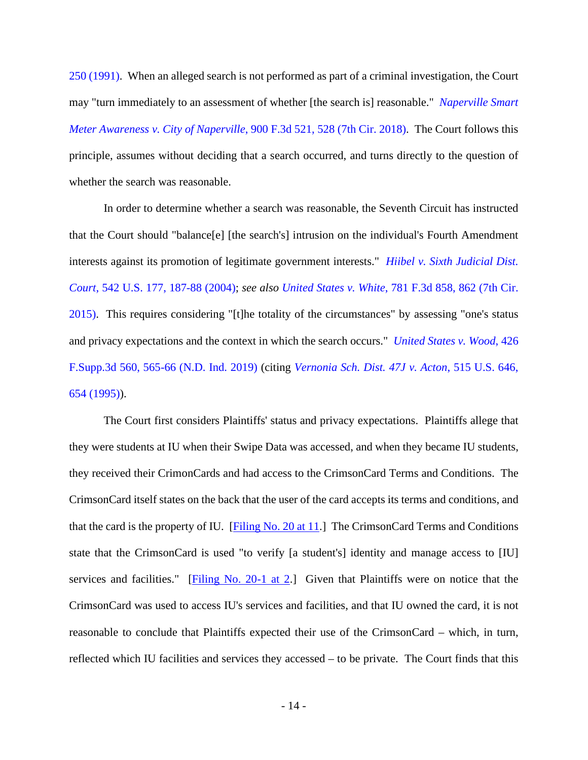[250 \(1991\).](https://www.westlaw.com/Document/I5df262939c9011d9bc61beebb95be672/View/FullText.html?transitionType=Default&contextData=(sc.Default)&VR=3.0&RS=da3.0&fragmentIdentifier=co_pp_sp_780_250) When an alleged search is not performed as part of a criminal investigation, the Court may "turn immediately to an assessment of whether [the search is] reasonable." *[Naperville Smart](https://www.westlaw.com/Document/Ia957ff80a1b111e89fc9c0a8a8f09d21/View/FullText.html?transitionType=Default&contextData=(sc.Default)&VR=3.0&RS=da3.0&fragmentIdentifier=co_pp_sp_506_528)  [Meter Awareness v. City of Naperville](https://www.westlaw.com/Document/Ia957ff80a1b111e89fc9c0a8a8f09d21/View/FullText.html?transitionType=Default&contextData=(sc.Default)&VR=3.0&RS=da3.0&fragmentIdentifier=co_pp_sp_506_528)*, 900 F.3d 521, 528 (7th Cir. 2018). The Court follows this principle, assumes without deciding that a search occurred, and turns directly to the question of whether the search was reasonable.

In order to determine whether a search was reasonable, the Seventh Circuit has instructed that the Court should "balance[e] [the search's] intrusion on the individual's Fourth Amendment interests against its promotion of legitimate government interests." *[Hiibel v. Sixth Judicial Dist.](https://www.westlaw.com/Document/Ia0a450809c9a11d993e6d35cc61aab4a/View/FullText.html?transitionType=Default&contextData=(sc.Default)&VR=3.0&RS=da3.0&fragmentIdentifier=co_pp_sp_780_187)  Court*[, 542 U.S. 177, 187-88 \(2004\);](https://www.westlaw.com/Document/Ia0a450809c9a11d993e6d35cc61aab4a/View/FullText.html?transitionType=Default&contextData=(sc.Default)&VR=3.0&RS=da3.0&fragmentIdentifier=co_pp_sp_780_187) *see also United States v. White*[, 781 F.3d 858, 862 \(7th Cir.](https://www.westlaw.com/Document/Ib4e068a3d34411e4a795ac035416da91/View/FullText.html?transitionType=Default&contextData=(sc.Default)&VR=3.0&RS=da3.0&fragmentIdentifier=co_pp_sp_506_862)  [2015\).](https://www.westlaw.com/Document/Ib4e068a3d34411e4a795ac035416da91/View/FullText.html?transitionType=Default&contextData=(sc.Default)&VR=3.0&RS=da3.0&fragmentIdentifier=co_pp_sp_506_862) This requires considering "[t]he totality of the circumstances" by assessing "one's status and privacy expectations and the context in which the search occurs." *[United States v. Wood](https://www.westlaw.com/Document/I26215a301d8411eaa49a848616f1a2d2/View/FullText.html?transitionType=Default&contextData=(sc.Default)&VR=3.0&RS=da3.0&fragmentIdentifier=co_pp_sp_7903_565)*, 426 [F.Supp.3d 560, 565-66 \(N.D. Ind. 2019\)](https://www.westlaw.com/Document/I26215a301d8411eaa49a848616f1a2d2/View/FullText.html?transitionType=Default&contextData=(sc.Default)&VR=3.0&RS=da3.0&fragmentIdentifier=co_pp_sp_7903_565) (citing *[Vernonia Sch. Dist. 47J v. Acton](https://www.westlaw.com/Document/Ia48c6e9c9c4a11d991d0cc6b54f12d4d/View/FullText.html?transitionType=Default&contextData=(sc.Default)&VR=3.0&RS=da3.0&fragmentIdentifier=co_pp_sp_780_654)*, 515 U.S. 646, [654 \(1995\)\)](https://www.westlaw.com/Document/Ia48c6e9c9c4a11d991d0cc6b54f12d4d/View/FullText.html?transitionType=Default&contextData=(sc.Default)&VR=3.0&RS=da3.0&fragmentIdentifier=co_pp_sp_780_654).

The Court first considers Plaintiffs' status and privacy expectations. Plaintiffs allege that they were students at IU when their Swipe Data was accessed, and when they became IU students, they received their CrimonCards and had access to the CrimsonCard Terms and Conditions. The CrimsonCard itself states on the back that the user of the card accepts its terms and conditions, and that the card is the property of IU. [\[Filing No. 20 at 11.](https://ecf.insd.uscourts.gov/doc1/07318468858?page=11)] The CrimsonCard Terms and Conditions state that the CrimsonCard is used "to verify [a student's] identity and manage access to [IU] services and facilities." [\[Filing No. 20-1 at 2.](https://ecf.insd.uscourts.gov/doc1/07318468859?page=2)] Given that Plaintiffs were on notice that the CrimsonCard was used to access IU's services and facilities, and that IU owned the card, it is not reasonable to conclude that Plaintiffs expected their use of the CrimsonCard – which, in turn, reflected which IU facilities and services they accessed – to be private. The Court finds that this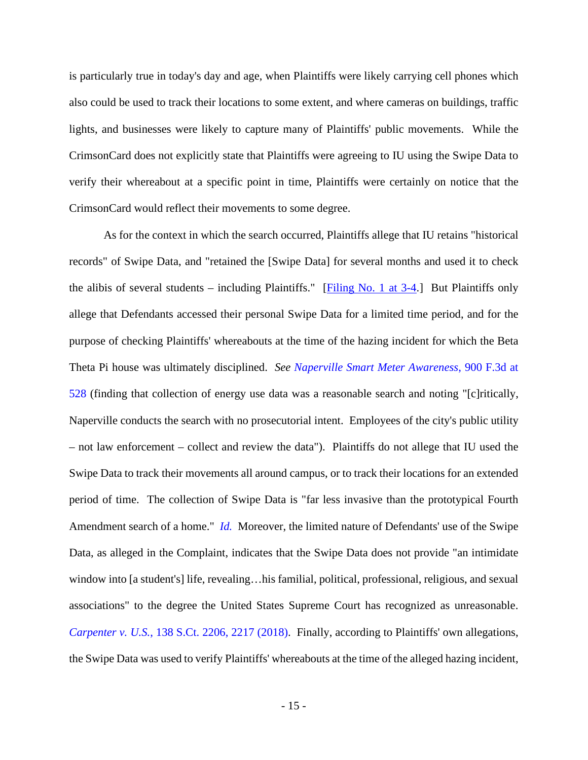is particularly true in today's day and age, when Plaintiffs were likely carrying cell phones which also could be used to track their locations to some extent, and where cameras on buildings, traffic lights, and businesses were likely to capture many of Plaintiffs' public movements. While the CrimsonCard does not explicitly state that Plaintiffs were agreeing to IU using the Swipe Data to verify their whereabout at a specific point in time, Plaintiffs were certainly on notice that the CrimsonCard would reflect their movements to some degree.

As for the context in which the search occurred, Plaintiffs allege that IU retains "historical records" of Swipe Data, and "retained the [Swipe Data] for several months and used it to check the alibis of several students – including Plaintiffs." [Filing No. 1 at  $3-4$ .] But Plaintiffs only allege that Defendants accessed their personal Swipe Data for a limited time period, and for the purpose of checking Plaintiffs' whereabouts at the time of the hazing incident for which the Beta Theta Pi house was ultimately disciplined. *See [Naperville Smart Meter Awareness](https://www.westlaw.com/Document/Ia957ff80a1b111e89fc9c0a8a8f09d21/View/FullText.html?transitionType=Default&contextData=(sc.Default)&VR=3.0&RS=da3.0&fragmentIdentifier=co_pp_sp_506_528)*, 900 F.3d at [528](https://www.westlaw.com/Document/Ia957ff80a1b111e89fc9c0a8a8f09d21/View/FullText.html?transitionType=Default&contextData=(sc.Default)&VR=3.0&RS=da3.0&fragmentIdentifier=co_pp_sp_506_528) (finding that collection of energy use data was a reasonable search and noting "[c]ritically, Naperville conducts the search with no prosecutorial intent. Employees of the city's public utility – not law enforcement – collect and review the data"). Plaintiffs do not allege that IU used the Swipe Data to track their movements all around campus, or to track their locations for an extended period of time. The collection of Swipe Data is "far less invasive than the prototypical Fourth Amendment search of a home." *[Id.](https://www.westlaw.com/Document/Ia957ff80a1b111e89fc9c0a8a8f09d21/View/FullText.html?transitionType=Default&contextData=(sc.Default)&VR=3.0&RS=da3.0)* Moreover, the limited nature of Defendants' use of the Swipe Data, as alleged in the Complaint, indicates that the Swipe Data does not provide "an intimidate window into [a student's] life, revealing…his familial, political, professional, religious, and sexual associations" to the degree the United States Supreme Court has recognized as unreasonable. *Carpenter v. U.S.*[, 138 S.Ct. 2206, 2217 \(2018\).](https://www.westlaw.com/Document/Iebe9c7e2761f11e89d59c04243316042/View/FullText.html?transitionType=Default&contextData=(sc.Default)&VR=3.0&RS=da3.0&fragmentIdentifier=co_pp_sp_708_2217) Finally, according to Plaintiffs' own allegations, the Swipe Data was used to verify Plaintiffs' whereabouts at the time of the alleged hazing incident,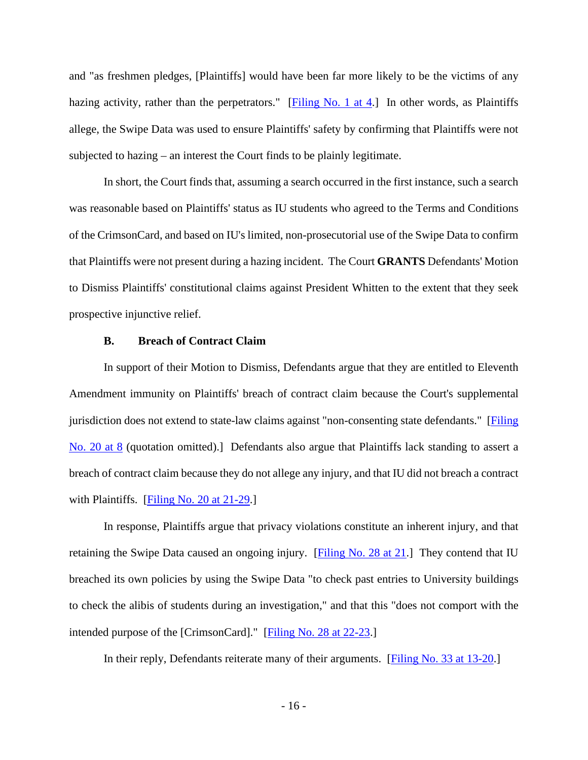and "as freshmen pledges, [Plaintiffs] would have been far more likely to be the victims of any hazing activity, rather than the perpetrators." [\[Filing No. 1 at 4.](https://ecf.insd.uscourts.gov/doc1/07318261820?page=4)] In other words, as Plaintiffs allege, the Swipe Data was used to ensure Plaintiffs' safety by confirming that Plaintiffs were not subjected to hazing – an interest the Court finds to be plainly legitimate.

In short, the Court finds that, assuming a search occurred in the first instance, such a search was reasonable based on Plaintiffs' status as IU students who agreed to the Terms and Conditions of the CrimsonCard, and based on IU's limited, non-prosecutorial use of the Swipe Data to confirm that Plaintiffs were not present during a hazing incident. The Court **GRANTS** Defendants' Motion to Dismiss Plaintiffs' constitutional claims against President Whitten to the extent that they seek prospective injunctive relief.

#### **B. Breach of Contract Claim**

In support of their Motion to Dismiss, Defendants argue that they are entitled to Eleventh Amendment immunity on Plaintiffs' breach of contract claim because the Court's supplemental jurisdiction does not extend to state-law claims against "non-consenting state defendants." [\[Filing](https://ecf.insd.uscourts.gov/doc1/07318468858?page=8)  [No. 20 at 8](https://ecf.insd.uscourts.gov/doc1/07318468858?page=8) (quotation omitted).] Defendants also argue that Plaintiffs lack standing to assert a breach of contract claim because they do not allege any injury, and that IU did not breach a contract with Plaintiffs. [\[Filing No. 20 at 21-29.](https://ecf.insd.uscourts.gov/doc1/07318468858?page=21)]

In response, Plaintiffs argue that privacy violations constitute an inherent injury, and that retaining the Swipe Data caused an ongoing injury. [\[Filing No. 28 at 21.](https://ecf.insd.uscourts.gov/doc1/07318510715?page=21)] They contend that IU breached its own policies by using the Swipe Data "to check past entries to University buildings to check the alibis of students during an investigation," and that this "does not comport with the intended purpose of the [CrimsonCard]." [\[Filing No. 28 at 22-23.](https://ecf.insd.uscourts.gov/doc1/07318510715?page=22)]

In their reply, Defendants reiterate many of their arguments. [\[Filing No. 33 at 13-20.](https://ecf.insd.uscourts.gov/doc1/07318537498?page=13)]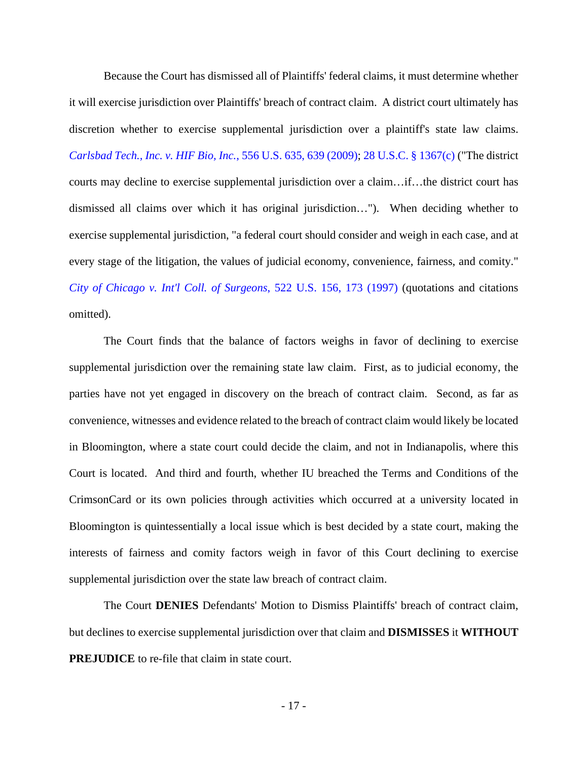Because the Court has dismissed all of Plaintiffs' federal claims, it must determine whether it will exercise jurisdiction over Plaintiffs' breach of contract claim. A district court ultimately has discretion whether to exercise supplemental jurisdiction over a plaintiff's state law claims. *[Carlsbad Tech., Inc. v. HIF Bio, Inc.](https://www.westlaw.com/Document/Ic93d7c1438a611deb23ec12d34598277/View/FullText.html?transitionType=Default&contextData=(sc.Default)&VR=3.0&RS=da3.0&fragmentIdentifier=co_pp_sp_780_639)*, 556 U.S. 635, 639 (2009); [28 U.S.C. §](https://www.westlaw.com/Document/NCCC85ED0A35911D88B25BBE406C5D950/View/FullText.html?transitionType=Default&contextData=(sc.Default)&VR=3.0&RS=da3.0) 1367(c) ("The district courts may decline to exercise supplemental jurisdiction over a claim…if…the district court has dismissed all claims over which it has original jurisdiction…"). When deciding whether to exercise supplemental jurisdiction, "a federal court should consider and weigh in each case, and at every stage of the litigation, the values of judicial economy, convenience, fairness, and comity." *[City of Chicago v. Int'l Coll. of Surgeons](https://www.westlaw.com/Document/I6b243bc39c2511d9bc61beebb95be672/View/FullText.html?transitionType=Default&contextData=(sc.Default)&VR=3.0&RS=da3.0&fragmentIdentifier=co_pp_sp_780_173)*, 522 U.S. 156, 173 (1997) (quotations and citations omitted).

The Court finds that the balance of factors weighs in favor of declining to exercise supplemental jurisdiction over the remaining state law claim. First, as to judicial economy, the parties have not yet engaged in discovery on the breach of contract claim. Second, as far as convenience, witnesses and evidence related to the breach of contract claim would likely be located in Bloomington, where a state court could decide the claim, and not in Indianapolis, where this Court is located. And third and fourth, whether IU breached the Terms and Conditions of the CrimsonCard or its own policies through activities which occurred at a university located in Bloomington is quintessentially a local issue which is best decided by a state court, making the interests of fairness and comity factors weigh in favor of this Court declining to exercise supplemental jurisdiction over the state law breach of contract claim.

The Court **DENIES** Defendants' Motion to Dismiss Plaintiffs' breach of contract claim, but declines to exercise supplemental jurisdiction over that claim and **DISMISSES** it **WITHOUT PREJUDICE** to re-file that claim in state court.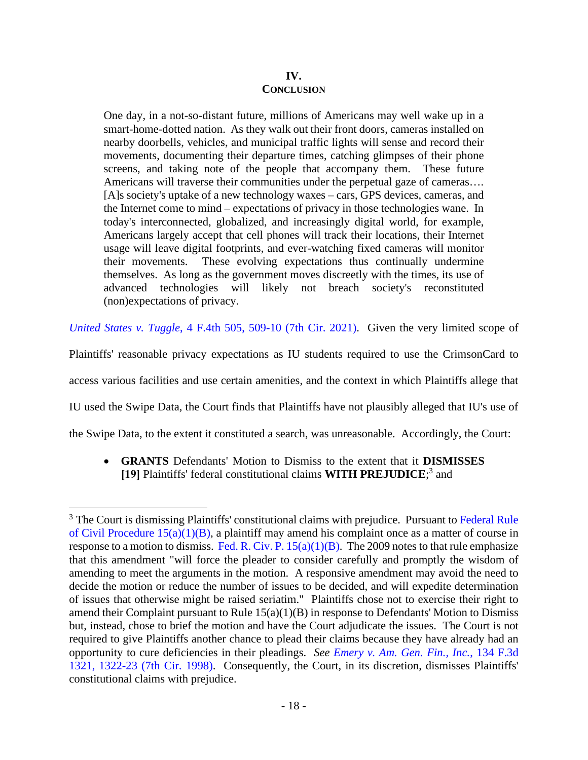# **IV. CONCLUSION**

One day, in a not-so-distant future, millions of Americans may well wake up in a smart-home-dotted nation. As they walk out their front doors, cameras installed on nearby doorbells, vehicles, and municipal traffic lights will sense and record their movements, documenting their departure times, catching glimpses of their phone screens, and taking note of the people that accompany them. These future Americans will traverse their communities under the perpetual gaze of cameras…. [A]s society's uptake of a new technology waxes – cars, GPS devices, cameras, and the Internet come to mind – expectations of privacy in those technologies wane. In today's interconnected, globalized, and increasingly digital world, for example, Americans largely accept that cell phones will track their locations, their Internet usage will leave digital footprints, and ever-watching fixed cameras will monitor their movements. These evolving expectations thus continually undermine themselves. As long as the government moves discreetly with the times, its use of advanced technologies will likely not breach society's reconstituted (non)expectations of privacy.

*United States v. Tuggle*[, 4 F.4th 505, 509-10 \(7th Cir. 2021\).](https://1.next.westlaw.com/Document/I155e52d0e4ec11eba48ad8c74eab983c/View/FullText.html?transitionType=UniqueDocItem&contextData=(sc.Default)&userEnteredCitation=4+f4th+505) Given the very limited scope of

Plaintiffs' reasonable privacy expectations as IU students required to use the CrimsonCard to

access various facilities and use certain amenities, and the context in which Plaintiffs allege that

IU used the Swipe Data, the Court finds that Plaintiffs have not plausibly alleged that IU's use of

the Swipe Data, to the extent it constituted a search, was unreasonable. Accordingly, the Court:

• **GRANTS** Defendants' Motion to Dismiss to the extent that it **DISMISSES [19]** Plaintiffs' federal constitutional claims **WITH PREJUDICE**; [3](#page-17-0) and

<span id="page-17-0"></span><sup>&</sup>lt;sup>3</sup> The Court is dismissing Plaintiffs' constitutional claims with prejudice. Pursuant to Federal Rule [of Civil Procedure 15\(a\)\(1\)\(B\),](https://www.westlaw.com/Document/N65EAF460B96211D8983DF34406B5929B/View/FullText.html?transitionType=Default&contextData=(sc.Default)&VR=3.0&RS=da3.0) a plaintiff may amend his complaint once as a matter of course in response to a motion to dismiss. Fed. R. Civ. P.  $15(a)(1)(B)$ . The 2009 notes to that rule emphasize that this amendment "will force the pleader to consider carefully and promptly the wisdom of amending to meet the arguments in the motion. A responsive amendment may avoid the need to decide the motion or reduce the number of issues to be decided, and will expedite determination of issues that otherwise might be raised seriatim." Plaintiffs chose not to exercise their right to amend their Complaint pursuant to Rule 15(a)(1)(B) in response to Defendants' Motion to Dismiss but, instead, chose to brief the motion and have the Court adjudicate the issues. The Court is not required to give Plaintiffs another chance to plead their claims because they have already had an opportunity to cure deficiencies in their pleadings. *See [Emery v. Am. Gen. Fin., Inc.](https://www.westlaw.com/Document/I72b663b3943a11d993e6d35cc61aab4a/View/FullText.html?transitionType=Default&contextData=(sc.Default)&VR=3.0&RS=da3.0&fragmentIdentifier=co_pp_sp_506_1322)*, 134 F.3d [1321, 1322-23 \(7th Cir. 1998\).](https://www.westlaw.com/Document/I72b663b3943a11d993e6d35cc61aab4a/View/FullText.html?transitionType=Default&contextData=(sc.Default)&VR=3.0&RS=da3.0&fragmentIdentifier=co_pp_sp_506_1322) Consequently, the Court, in its discretion, dismisses Plaintiffs' constitutional claims with prejudice.